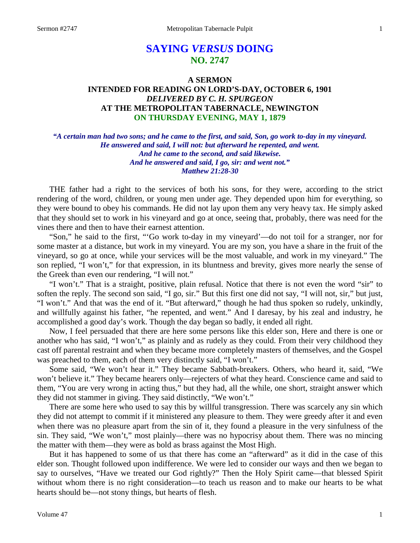# **SAYING** *VERSUS* **DOING NO. 2747**

## **A SERMON INTENDED FOR READING ON LORD'S-DAY, OCTOBER 6, 1901** *DELIVERED BY C. H. SPURGEON* **AT THE METROPOLITAN TABERNACLE, NEWINGTON ON THURSDAY EVENING, MAY 1, 1879**

*"A certain man had two sons; and he came to the first, and said, Son, go work to-day in my vineyard. He answered and said, I will not: but afterward he repented, and went. And he came to the second, and said likewise. And he answered and said, I go, sir: and went not." Matthew 21:28-30*

THE father had a right to the services of both his sons, for they were, according to the strict rendering of the word, children, or young men under age. They depended upon him for everything, so they were bound to obey his commands. He did not lay upon them any very heavy tax. He simply asked that they should set to work in his vineyard and go at once, seeing that, probably, there was need for the vines there and then to have their earnest attention.

"Son," he said to the first, "'Go work to-day in my vineyard'—do not toil for a stranger, nor for some master at a distance, but work in my vineyard. You are my son, you have a share in the fruit of the vineyard, so go at once, while your services will be the most valuable, and work in my vineyard." The son replied, "I won't," for that expression, in its bluntness and brevity, gives more nearly the sense of the Greek than even our rendering, "I will not."

"I won't." That is a straight, positive, plain refusal. Notice that there is not even the word "sir" to soften the reply. The second son said, "I go, sir." But this first one did not say, "I will not, sir," but just, "I won't." And that was the end of it. "But afterward," though he had thus spoken so rudely, unkindly, and willfully against his father, "he repented, and went." And I daresay, by his zeal and industry, he accomplished a good day's work. Though the day began so badly, it ended all right.

Now, I feel persuaded that there are here some persons like this elder son, Here and there is one or another who has said, "I won't," as plainly and as rudely as they could. From their very childhood they cast off parental restraint and when they became more completely masters of themselves, and the Gospel was preached to them, each of them very distinctly said, "I won't."

Some said, "We won't hear it." They became Sabbath-breakers. Others, who heard it, said, "We won't believe it." They became hearers only—rejecters of what they heard. Conscience came and said to them, "You are very wrong in acting thus," but they had, all the while, one short, straight answer which they did not stammer in giving. They said distinctly, "We won't."

There are some here who used to say this by willful transgression. There was scarcely any sin which they did not attempt to commit if it ministered any pleasure to them. They were greedy after it and even when there was no pleasure apart from the sin of it, they found a pleasure in the very sinfulness of the sin. They said, "We won't," most plainly—there was no hypocrisy about them. There was no mincing the matter with them—they were as bold as brass against the Most High.

But it has happened to some of us that there has come an "afterward" as it did in the case of this elder son. Thought followed upon indifference. We were led to consider our ways and then we began to say to ourselves, "Have we treated our God rightly?" Then the Holy Spirit came—that blessed Spirit without whom there is no right consideration—to teach us reason and to make our hearts to be what hearts should be—not stony things, but hearts of flesh.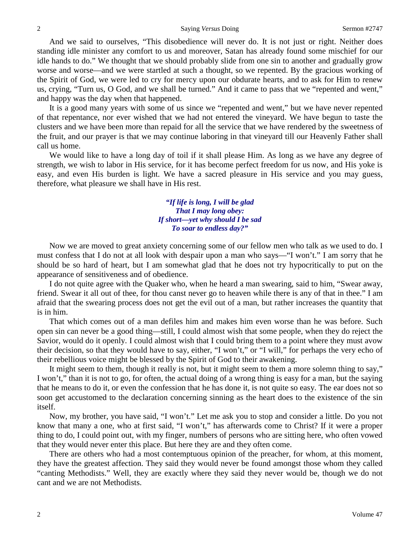And we said to ourselves, "This disobedience will never do. It is not just or right. Neither does standing idle minister any comfort to us and moreover, Satan has already found some mischief for our idle hands to do." We thought that we should probably slide from one sin to another and gradually grow worse and worse—and we were startled at such a thought, so we repented. By the gracious working of the Spirit of God, we were led to cry for mercy upon our obdurate hearts, and to ask for Him to renew us, crying, "Turn us, O God, and we shall be turned." And it came to pass that we "repented and went," and happy was the day when that happened.

It is a good many years with some of us since we "repented and went," but we have never repented of that repentance, nor ever wished that we had not entered the vineyard. We have begun to taste the clusters and we have been more than repaid for all the service that we have rendered by the sweetness of the fruit, and our prayer is that we may continue laboring in that vineyard till our Heavenly Father shall call us home.

We would like to have a long day of toil if it shall please Him. As long as we have any degree of strength, we wish to labor in His service, for it has become perfect freedom for us now, and His yoke is easy, and even His burden is light. We have a sacred pleasure in His service and you may guess, therefore, what pleasure we shall have in His rest.

## *"If life is long, I will be glad That I may long obey: If short—yet why should I be sad To soar to endless day?"*

Now we are moved to great anxiety concerning some of our fellow men who talk as we used to do. I must confess that I do not at all look with despair upon a man who says—"I won't." I am sorry that he should be so hard of heart, but I am somewhat glad that he does not try hypocritically to put on the appearance of sensitiveness and of obedience.

I do not quite agree with the Quaker who, when he heard a man swearing, said to him, "Swear away, friend. Swear it all out of thee, for thou canst never go to heaven while there is any of that in thee." I am afraid that the swearing process does not get the evil out of a man, but rather increases the quantity that is in him.

That which comes out of a man defiles him and makes him even worse than he was before. Such open sin can never be a good thing—still, I could almost wish that some people, when they do reject the Savior, would do it openly. I could almost wish that I could bring them to a point where they must avow their decision, so that they would have to say, either, "I won't," or "I will," for perhaps the very echo of their rebellious voice might be blessed by the Spirit of God to their awakening.

It might seem to them, though it really is not, but it might seem to them a more solemn thing to say," I won't," than it is not to go, for often, the actual doing of a wrong thing is easy for a man, but the saying that he means to do it, or even the confession that he has done it, is not quite so easy. The ear does not so soon get accustomed to the declaration concerning sinning as the heart does to the existence of the sin itself.

Now, my brother, you have said, "I won't." Let me ask you to stop and consider a little. Do you not know that many a one, who at first said, "I won't," has afterwards come to Christ? If it were a proper thing to do, I could point out, with my finger, numbers of persons who are sitting here, who often vowed that they would never enter this place. But here they are and they often come.

There are others who had a most contemptuous opinion of the preacher, for whom, at this moment, they have the greatest affection. They said they would never be found amongst those whom they called "canting Methodists." Well, they are exactly where they said they never would be, though we do not cant and we are not Methodists.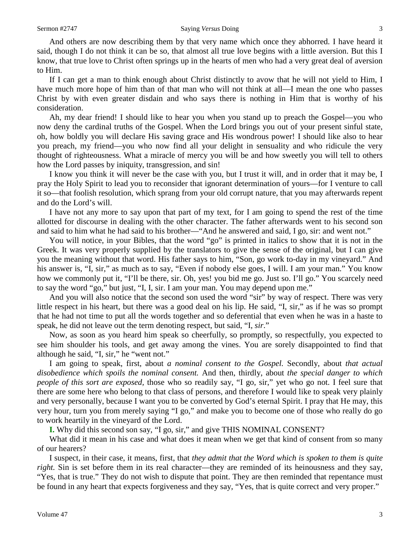And others are now describing them by that very name which once they abhorred. I have heard it said, though I do not think it can be so, that almost all true love begins with a little aversion. But this I know, that true love to Christ often springs up in the hearts of men who had a very great deal of aversion to Him.

If I can get a man to think enough about Christ distinctly to avow that he will not yield to Him, I have much more hope of him than of that man who will not think at all—I mean the one who passes Christ by with even greater disdain and who says there is nothing in Him that is worthy of his consideration.

Ah, my dear friend! I should like to hear you when you stand up to preach the Gospel—you who now deny the cardinal truths of the Gospel. When the Lord brings you out of your present sinful state, oh, how boldly you will declare His saving grace and His wondrous power! I should like also to hear you preach, my friend—you who now find all your delight in sensuality and who ridicule the very thought of righteousness. What a miracle of mercy you will be and how sweetly you will tell to others how the Lord passes by iniquity, transgression, and sin!

I know you think it will never be the case with you, but I trust it will, and in order that it may be, I pray the Holy Spirit to lead you to reconsider that ignorant determination of yours—for I venture to call it so—that foolish resolution, which sprang from your old corrupt nature, that you may afterwards repent and do the Lord's will.

I have not any more to say upon that part of my text, for I am going to spend the rest of the time allotted for discourse in dealing with the other character. The father afterwards went to his second son and said to him what he had said to his brother—"And he answered and said, I go, sir: and went not."

You will notice, in your Bibles, that the word "go" is printed in italics to show that it is not in the Greek. It was very properly supplied by the translators to give the sense of the original, but I can give you the meaning without that word. His father says to him, "Son, go work to-day in my vineyard." And his answer is, "I, sir," as much as to say, "Even if nobody else goes, I will. I am your man." You know how we commonly put it, "I'll be there, sir. Oh, yes! you bid me go. Just so. I'll go." You scarcely need to say the word "go," but just, "I, I, sir. I am your man. You may depend upon me."

And you will also notice that the second son used the word "sir" by way of respect. There was very little respect in his heart, but there was a good deal on his lip. He said, "I, sir," as if he was so prompt that he had not time to put all the words together and so deferential that even when he was in a haste to speak, he did not leave out the term denoting respect, but said, "I, *sir*."

Now, as soon as you heard him speak so cheerfully, so promptly, so respectfully, you expected to see him shoulder his tools, and get away among the vines. You are sorely disappointed to find that although he said, "I, sir," he "went not."

I am going to speak, first, about *a nominal consent to the Gospel.* Secondly, about *that actual disobedience which spoils the nominal consent.* And then, thirdly, about *the special danger to which people of this sort are exposed,* those who so readily say, "I go, sir," yet who go not. I feel sure that there are some here who belong to that class of persons, and therefore I would like to speak very plainly and very personally, because I want you to be converted by God's eternal Spirit. I pray that He may, this very hour, turn you from merely saying "I go," and make you to become one of those who really do go to work heartily in the vineyard of the Lord.

**I.** Why did this second son say, "I go, sir," and give THIS NOMINAL CONSENT?

What did it mean in his case and what does it mean when we get that kind of consent from so many of our hearers?

I suspect, in their case, it means, first, that *they admit that the Word which is spoken to them is quite right*. Sin is set before them in its real character—they are reminded of its heinousness and they say, "Yes, that is true." They do not wish to dispute that point. They are then reminded that repentance must be found in any heart that expects forgiveness and they say, "Yes, that is quite correct and very proper."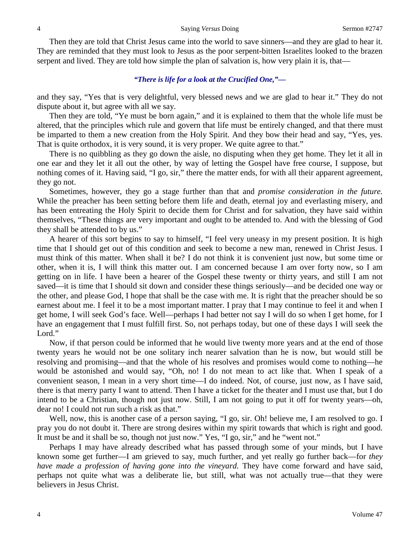Then they are told that Christ Jesus came into the world to save sinners—and they are glad to hear it. They are reminded that they must look to Jesus as the poor serpent-bitten Israelites looked to the brazen serpent and lived. They are told how simple the plan of salvation is, how very plain it is, that—

## *"There is life for a look at the Crucified One,"—*

and they say, "Yes that is very delightful, very blessed news and we are glad to hear it." They do not dispute about it, but agree with all we say.

Then they are told, "Ye must be born again," and it is explained to them that the whole life must be altered, that the principles which rule and govern that life must be entirely changed, and that there must be imparted to them a new creation from the Holy Spirit. And they bow their head and say, "Yes, yes. That is quite orthodox, it is very sound, it is very proper. We quite agree to that."

There is no quibbling as they go down the aisle, no disputing when they get home. They let it all in one ear and they let it all out the other, by way of letting the Gospel have free course, I suppose, but nothing comes of it. Having said, "I go, sir," there the matter ends, for with all their apparent agreement, they go not.

Sometimes, however, they go a stage further than that and *promise consideration in the future.*  While the preacher has been setting before them life and death, eternal joy and everlasting misery, and has been entreating the Holy Spirit to decide them for Christ and for salvation, they have said within themselves, "These things are very important and ought to be attended to. And with the blessing of God they shall be attended to by us."

A hearer of this sort begins to say to himself, "I feel very uneasy in my present position. It is high time that I should get out of this condition and seek to become a new man, renewed in Christ Jesus. I must think of this matter. When shall it be? I do not think it is convenient just now, but some time or other, when it is, I will think this matter out. I am concerned because I am over forty now, so I am getting on in life. I have been a hearer of the Gospel these twenty or thirty years, and still I am not saved—it is time that I should sit down and consider these things seriously—and be decided one way or the other, and please God, I hope that shall be the case with me. It is right that the preacher should be so earnest about me. I feel it to be a most important matter. I pray that I may continue to feel it and when I get home, I will seek God's face. Well—perhaps I had better not say I will do so when I get home, for I have an engagement that I must fulfill first. So, not perhaps today, but one of these days I will seek the Lord."

Now, if that person could be informed that he would live twenty more years and at the end of those twenty years he would not be one solitary inch nearer salvation than he is now, but would still be resolving and promising—and that the whole of his resolves and promises would come to nothing—he would be astonished and would say, "Oh, no! I do not mean to act like that. When I speak of a convenient season, I mean in a very short time—I do indeed. Not, of course, just now, as I have said, there is that merry party I want to attend. Then I have a ticket for the theater and I must use that, but I do intend to be a Christian, though not just now. Still, I am not going to put it off for twenty years—oh, dear no! I could not run such a risk as that."

Well, now, this is another case of a person saying, "I go, sir. Oh! believe me, I am resolved to go. I pray you do not doubt it. There are strong desires within my spirit towards that which is right and good. It must be and it shall be so, though not just now." Yes, "I go, sir," and he "went not."

Perhaps I may have already described what has passed through some of your minds, but I have known some get further—I am grieved to say, much further, and yet really go further back—for *they have made a profession of having gone into the vineyard.* They have come forward and have said, perhaps not quite what was a deliberate lie, but still, what was not actually true—that they were believers in Jesus Christ.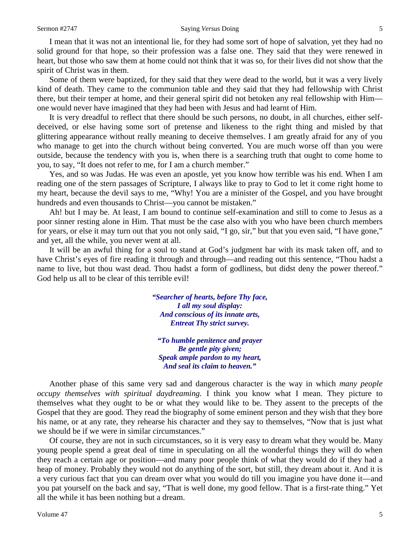#### Sermon #2747 Saying *Versus* Doing 5

I mean that it was not an intentional lie, for they had some sort of hope of salvation, yet they had no solid ground for that hope, so their profession was a false one. They said that they were renewed in heart, but those who saw them at home could not think that it was so, for their lives did not show that the spirit of Christ was in them.

Some of them were baptized, for they said that they were dead to the world, but it was a very lively kind of death. They came to the communion table and they said that they had fellowship with Christ there, but their temper at home, and their general spirit did not betoken any real fellowship with Him one would never have imagined that they had been with Jesus and had learnt of Him.

It is very dreadful to reflect that there should be such persons, no doubt, in all churches, either selfdeceived, or else having some sort of pretense and likeness to the right thing and misled by that glittering appearance without really meaning to deceive themselves. I am greatly afraid for any of you who manage to get into the church without being converted. You are much worse off than you were outside, because the tendency with you is, when there is a searching truth that ought to come home to you, to say, "It does not refer to me, for I am a church member."

Yes, and so was Judas. He was even an apostle, yet you know how terrible was his end. When I am reading one of the stern passages of Scripture, I always like to pray to God to let it come right home to my heart, because the devil says to me, "Why! You are a minister of the Gospel, and you have brought hundreds and even thousands to Christ—you cannot be mistaken."

Ah! but I may be. At least, I am bound to continue self-examination and still to come to Jesus as a poor sinner resting alone in Him. That must be the case also with you who have been church members for years, or else it may turn out that you not only said, "I go, sir," but that you even said, "I have gone," and yet, all the while, you never went at all.

It will be an awful thing for a soul to stand at God's judgment bar with its mask taken off, and to have Christ's eyes of fire reading it through and through—and reading out this sentence, "Thou hadst a name to live, but thou wast dead. Thou hadst a form of godliness, but didst deny the power thereof." God help us all to be clear of this terrible evil!

> *"Searcher of hearts, before Thy face, I all my soul display: And conscious of its innate arts, Entreat Thy strict survey.*

*"To humble penitence and prayer Be gentle pity given; Speak ample pardon to my heart, And seal its claim to heaven."*

Another phase of this same very sad and dangerous character is the way in which *many people occupy themselves with spiritual daydreaming.* I think you know what I mean. They picture to themselves what they ought to be or what they would like to be. They assent to the precepts of the Gospel that they are good. They read the biography of some eminent person and they wish that they bore his name, or at any rate, they rehearse his character and they say to themselves, "Now that is just what we should be if we were in similar circumstances."

Of course, they are not in such circumstances, so it is very easy to dream what they would be. Many young people spend a great deal of time in speculating on all the wonderful things they will do when they reach a certain age or position—and many poor people think of what they would do if they had a heap of money. Probably they would not do anything of the sort, but still, they dream about it. And it is a very curious fact that you can dream over what you would do till you imagine you have done it—and you pat yourself on the back and say, "That is well done, my good fellow. That is a first-rate thing." Yet all the while it has been nothing but a dream.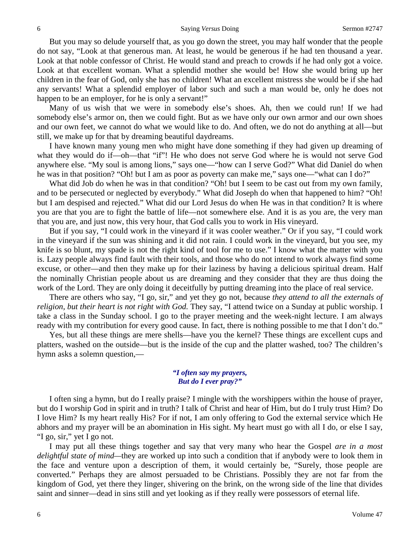But you may so delude yourself that, as you go down the street, you may half wonder that the people do not say, "Look at that generous man. At least, he would be generous if he had ten thousand a year. Look at that noble confessor of Christ. He would stand and preach to crowds if he had only got a voice. Look at that excellent woman. What a splendid mother she would be! How she would bring up her children in the fear of God, only she has no children! What an excellent mistress she would be if she had any servants! What a splendid employer of labor such and such a man would be, only he does not happen to be an employer, for he is only a servant!"

Many of us wish that we were in somebody else's shoes. Ah, then we could run! If we had somebody else's armor on, then we could fight. But as we have only our own armor and our own shoes and our own feet, we cannot do what we would like to do. And often, we do not do anything at all—but still, we make up for that by dreaming beautiful daydreams.

I have known many young men who might have done something if they had given up dreaming of what they would do if—oh—that "if"! He who does not serve God where he is would not serve God anywhere else. "My soul is among lions," says one—"how can I serve God?" What did Daniel do when he was in that position? "Oh! but I am as poor as poverty can make me," says one—"what can I do?"

What did Job do when he was in that condition? "Oh! but I seem to be cast out from my own family, and to be persecuted or neglected by everybody." What did Joseph do when that happened to him? "Oh! but I am despised and rejected." What did our Lord Jesus do when He was in that condition? It is where you are that you are to fight the battle of life—not somewhere else. And it is as you are, the very man that you are, and just now, this very hour, that God calls you to work in His vineyard.

But if you say, "I could work in the vineyard if it was cooler weather." Or if you say, "I could work in the vineyard if the sun was shining and it did not rain. I could work in the vineyard, but you see, my knife is so blunt, my spade is not the right kind of tool for me to use." I know what the matter with you is. Lazy people always find fault with their tools, and those who do not intend to work always find some excuse, or other—and then they make up for their laziness by having a delicious spiritual dream. Half the nominally Christian people about us are dreaming and they consider that they are thus doing the work of the Lord. They are only doing it deceitfully by putting dreaming into the place of real service.

There are others who say, "I go, sir," and yet they go not, because *they attend to all the externals of religion, but their heart is not right with God.* They say, "I attend twice on a Sunday at public worship. I take a class in the Sunday school. I go to the prayer meeting and the week-night lecture. I am always ready with my contribution for every good cause. In fact, there is nothing possible to me that I don't do."

Yes, but all these things are mere shells—have you the kernel? These things are excellent cups and platters, washed on the outside—but is the inside of the cup and the platter washed, too? The children's hymn asks a solemn question,—

### *"I often say my prayers, But do I ever pray?"*

I often sing a hymn, but do I really praise? I mingle with the worshippers within the house of prayer, but do I worship God in spirit and in truth? I talk of Christ and hear of Him, but do I truly trust Him? Do I love Him? Is my heart really His? For if not, I am only offering to God the external service which He abhors and my prayer will be an abomination in His sight. My heart must go with all I do, or else I say, "I go, sir," yet I go not.

I may put all these things together and say that very many who hear the Gospel *are in a most delightful state of mind—*they are worked up into such a condition that if anybody were to look them in the face and venture upon a description of them, it would certainly be, "Surely, those people are converted." Perhaps they are almost persuaded to be Christians. Possibly they are not far from the kingdom of God, yet there they linger, shivering on the brink, on the wrong side of the line that divides saint and sinner—dead in sins still and yet looking as if they really were possessors of eternal life.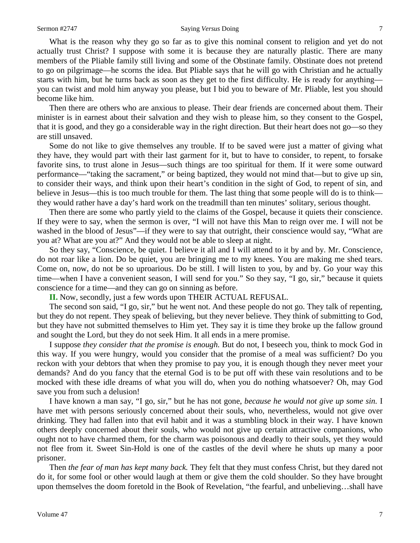#### Sermon #2747 Saying *Versus* Doing 7

What is the reason why they go so far as to give this nominal consent to religion and yet do not actually trust Christ? I suppose with some it is because they are naturally plastic. There are many members of the Pliable family still living and some of the Obstinate family. Obstinate does not pretend to go on pilgrimage—he scorns the idea. But Pliable says that he will go with Christian and he actually starts with him, but he turns back as soon as they get to the first difficulty. He is ready for anything you can twist and mold him anyway you please, but I bid you to beware of Mr. Pliable, lest you should become like him.

Then there are others who are anxious to please. Their dear friends are concerned about them. Their minister is in earnest about their salvation and they wish to please him, so they consent to the Gospel, that it is good, and they go a considerable way in the right direction. But their heart does not go—so they are still unsaved.

Some do not like to give themselves any trouble. If to be saved were just a matter of giving what they have, they would part with their last garment for it, but to have to consider, to repent, to forsake favorite sins, to trust alone in Jesus—such things are too spiritual for them. If it were some outward performance—"taking the sacrament," or being baptized, they would not mind that—but to give up sin, to consider their ways, and think upon their heart's condition in the sight of God, to repent of sin, and believe in Jesus—this is too much trouble for them. The last thing that some people will do is to think they would rather have a day's hard work on the treadmill than ten minutes' solitary, serious thought.

Then there are some who partly yield to the claims of the Gospel, because it quiets their conscience. If they were to say, when the sermon is over, "I will not have this Man to reign over me. I will not be washed in the blood of Jesus"—if they were to say that outright, their conscience would say, "What are you at? What are you at?" And they would not be able to sleep at night.

So they say, "Conscience, be quiet. I believe it all and I will attend to it by and by. Mr. Conscience, do not roar like a lion. Do be quiet, you are bringing me to my knees. You are making me shed tears. Come on, now, do not be so uproarious. Do be still. I will listen to you, by and by. Go your way this time—when I have a convenient season, I will send for you." So they say, "I go, sir," because it quiets conscience for a time—and they can go on sinning as before.

**II.** Now, secondly, just a few words upon THEIR ACTUAL REFUSAL.

The second son said, "I go, sir," but he went not. And these people do not go. They talk of repenting, but they do not repent. They speak of believing, but they never believe. They think of submitting to God, but they have not submitted themselves to Him yet. They say it is time they broke up the fallow ground and sought the Lord, but they do not seek Him. It all ends in a mere promise.

I suppose *they consider that the promise is enough.* But do not, I beseech you, think to mock God in this way. If you were hungry, would you consider that the promise of a meal was sufficient? Do you reckon with your debtors that when they promise to pay you, it is enough though they never meet your demands? And do you fancy that the eternal God is to be put off with these vain resolutions and to be mocked with these idle dreams of what you will do, when you do nothing whatsoever? Oh, may God save you from such a delusion!

I have known a man say, "I go, sir," but he has not gone, *because he would not give up some sin.* I have met with persons seriously concerned about their souls, who, nevertheless, would not give over drinking. They had fallen into that evil habit and it was a stumbling block in their way. I have known others deeply concerned about their souls, who would not give up certain attractive companions, who ought not to have charmed them, for the charm was poisonous and deadly to their souls, yet they would not flee from it. Sweet Sin-Hold is one of the castles of the devil where he shuts up many a poor prisoner.

Then *the fear of man has kept many back.* They felt that they must confess Christ, but they dared not do it, for some fool or other would laugh at them or give them the cold shoulder. So they have brought upon themselves the doom foretold in the Book of Revelation, "the fearful, and unbelieving…shall have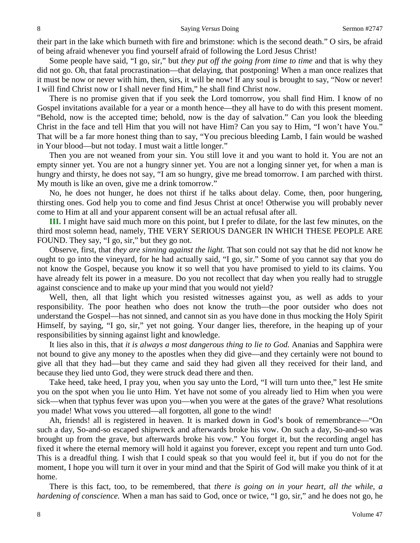their part in the lake which burneth with fire and brimstone: which is the second death." O sirs, be afraid of being afraid whenever you find yourself afraid of following the Lord Jesus Christ!

Some people have said, "I go, sir," but *they put off the going from time to time* and that is why they did not go. Oh, that fatal procrastination—that delaying, that postponing! When a man once realizes that it must be now or never with him, then, sirs, it will be now! If any soul is brought to say, "Now or never! I will find Christ now or I shall never find Him," he shall find Christ now.

There is no promise given that if you seek the Lord tomorrow, you shall find Him. I know of no Gospel invitations available for a year or a month hence—they all have to do with this present moment. "Behold, now is the accepted time; behold, now is the day of salvation." Can you look the bleeding Christ in the face and tell Him that you will not have Him? Can you say to Him, "I won't have You." That will be a far more honest thing than to say, "You precious bleeding Lamb, I fain would be washed in Your blood—but not today. I must wait a little longer."

Then you are not weaned from your sin. You still love it and you want to hold it. You are not an empty sinner yet. You are not a hungry sinner yet. You are not a longing sinner yet, for when a man is hungry and thirsty, he does not say, "I am so hungry, give me bread tomorrow. I am parched with thirst. My mouth is like an oven, give me a drink tomorrow."

No, he does not hunger, he does not thirst if he talks about delay. Come, then, poor hungering, thirsting ones. God help you to come and find Jesus Christ at once! Otherwise you will probably never come to Him at all and your apparent consent will be an actual refusal after all.

**III.** I might have said much more on this point, but I prefer to dilate, for the last few minutes, on the third most solemn head, namely, THE VERY SERIOUS DANGER IN WHICH THESE PEOPLE ARE FOUND. They say, "I go, sir," but they go not.

Observe, first, that *they are sinning against the light.* That son could not say that he did not know he ought to go into the vineyard, for he had actually said, "I go, sir." Some of you cannot say that you do not know the Gospel, because you know it so well that you have promised to yield to its claims. You have already felt its power in a measure. Do you not recollect that day when you really had to struggle against conscience and to make up your mind that you would not yield?

Well, then, all that light which you resisted witnesses against you, as well as adds to your responsibility. The poor heathen who does not know the truth—the poor outsider who does not understand the Gospel—has not sinned, and cannot sin as you have done in thus mocking the Holy Spirit Himself, by saying, "I go, sir," yet not going. Your danger lies, therefore, in the heaping up of your responsibilities by sinning against light and knowledge.

It lies also in this, that *it is always a most dangerous thing to lie to God.* Ananias and Sapphira were not bound to give any money to the apostles when they did give—and they certainly were not bound to give all that they had—but they came and said they had given all they received for their land, and because they lied unto God, they were struck dead there and then.

Take heed, take heed, I pray you, when you say unto the Lord, "I will turn unto thee," lest He smite you on the spot when you lie unto Him. Yet have not some of you already lied to Him when you were sick—when that typhus fever was upon you—when you were at the gates of the grave? What resolutions you made! What vows you uttered—all forgotten, all gone to the wind!

Ah, friends! all is registered in heaven. It is marked down in God's book of remembrance—"On such a day, So-and-so escaped shipwreck and afterwards broke his vow. On such a day, So-and-so was brought up from the grave, but afterwards broke his vow." You forget it, but the recording angel has fixed it where the eternal memory will hold it against you forever, except you repent and turn unto God. This is a dreadful thing. I wish that I could speak so that you would feel it, but if you do not for the moment, I hope you will turn it over in your mind and that the Spirit of God will make you think of it at home.

There is this fact, too, to be remembered, that *there is going on in your heart, all the while, a hardening of conscience.* When a man has said to God, once or twice, "I go, sir," and he does not go, he